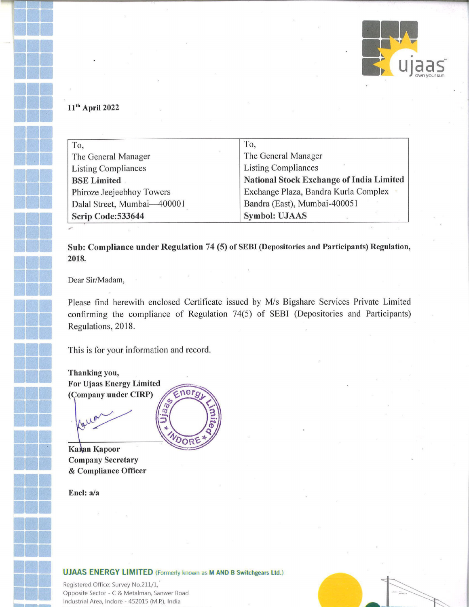

## 11<sup>th</sup> April 2022

| To,                         | To,                                             |
|-----------------------------|-------------------------------------------------|
| The General Manager         | The General Manager                             |
| <b>Listing Compliances</b>  | <b>Listing Compliances</b>                      |
| <b>BSE Limited</b>          | <b>National Stock Exchange of India Limited</b> |
| Phiroze Jeejeebhoy Towers   | Exchange Plaza, Bandra Kurla Complex .          |
| Dalal Street, Mumbai-400001 | Bandra (East), Mumbai-400051                    |
| Scrip Code: 533644          | <b>Symbol: UJAAS</b>                            |

Sub: Compliance under Regulation 74 (5) of SEBI (Depositories and Participants) Regulation, 2018.

Dear Sir/Madam,

Please find herewith enclosed Certificate issued by M/s Bigshare Services Private Limited confirming the compliance of Regulation 74(5) of SEBI (Depositories and Participants) Regulations, 2018.

This is for your information and record.

Thanking you, **For Ujaas Energy Limited** (Company under CIRP)

Karan Kapoor **Company Secretary** & Compliance Officer

Encl: a/a



## **UJAAS ENERGY LIMITED** (Formerly known as M AND B Switchgears Ltd.)

Registered Office: Survey No.211/1, Opposite Sector - C & Metalman, Sanwer Road Industrial Area, Indore - 452015 (M.P.), India